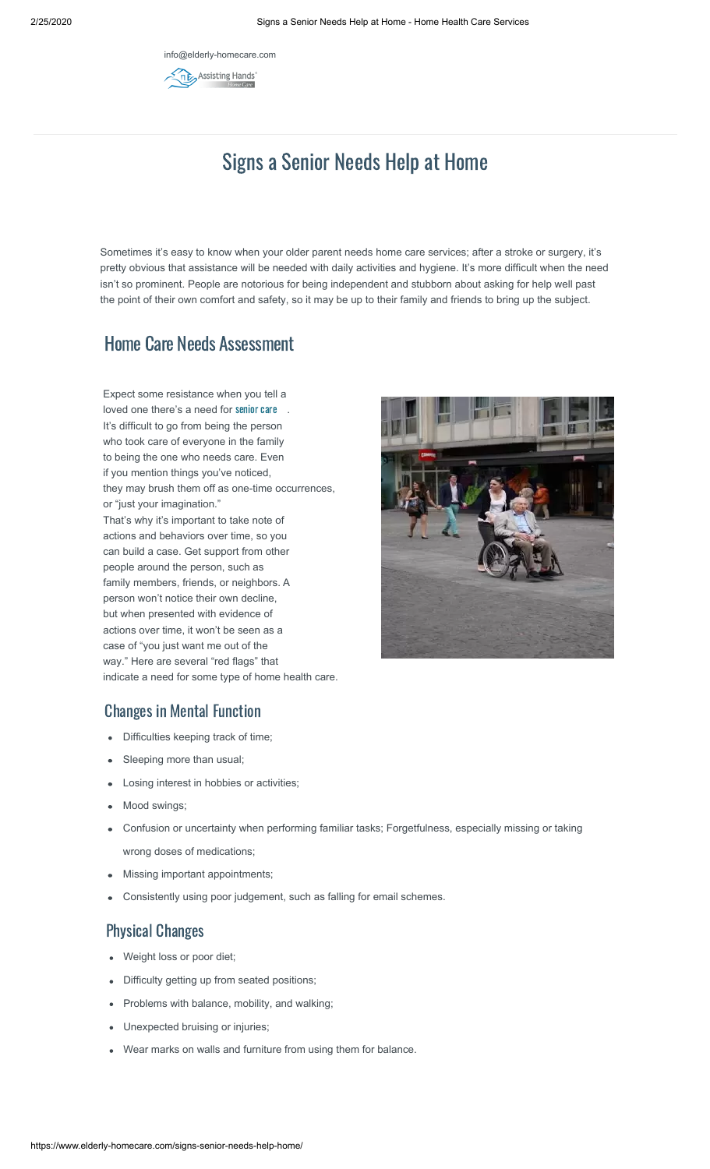info@elderly-homecare[.com](https://www.elderly-homecare.com/home-health-care/)**REG** Assisting Hands



Sometimes it's easy to know when your older parent needs home care services; after a stroke or surgery, it's pretty obvious that assistance will be needed with daily activities and hygiene. It's more difficult when the need isn't so prominent. People are notorious for being independent and stubborn about asking for help well past the point of their own comfort and safety, so it may be up to their family and friends to bring up the subject.

# Home Care Needs Assessment

Expect some resistance when you tell a loved one there's a need for [senior care](https://www.elderly-homecare.com/services/in-home-senior-care/) . It's difficult to go from being the person who took care of everyone in the family to being the one who needs care. Even if you mention things you've noticed, they may brush them off as one-time occurrences, or "just your imagination." That's why it's important to take note of actions and behaviors over time, so you can build a case. Get support from other people around the person, such as family members, friends, or neighbors. A person won't notice their own decline, but when presented with evidence of actions over time, it won't be seen as a case of "you just want me out of the way." Here are several "red flags" that indicate a need for some type of home health care.



### Changes in Mental Function

- Difficulties keeping track of time;
- Sleeping more than usual;
- Losing interest in hobbies or activities;
- Mood swings;
- Confusion or uncertainty when performing familiar tasks; Forgetfulness, especially missing or taking wrong doses of medications;
- Missing important appointments;
- Consistently using poor judgement, such as falling for email schemes.

#### Physical Changes

- Weight loss or poor diet;
- Difficulty getting up from seated positions;
- Problems with balance, mobility, and walking;
- Unexpected bruising or injuries;
- Wear marks on walls and furniture from using them for balance.